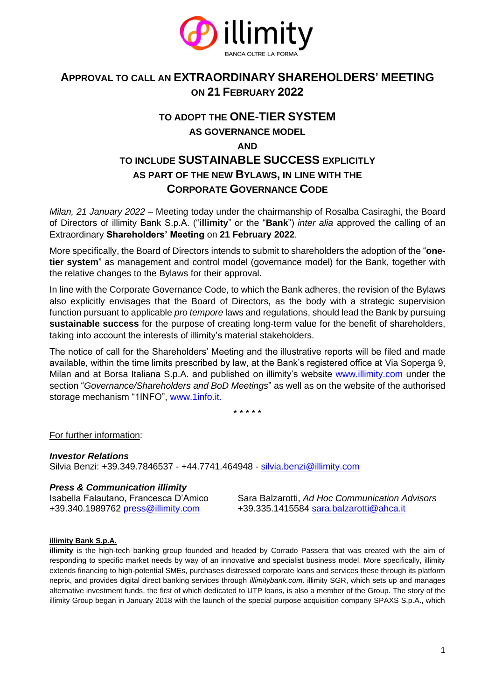

## **APPROVAL TO CALL AN EXTRAORDINARY SHAREHOLDERS' MEETING ON 21 FEBRUARY 2022**

## **TO ADOPT THE ONE-TIER SYSTEM AS GOVERNANCE MODEL AND TO INCLUDE SUSTAINABLE SUCCESS EXPLICITLY AS PART OF THE NEW BYLAWS, IN LINE WITH THE CORPORATE GOVERNANCE CODE**

*Milan, 21 January 2022* – Meeting today under the chairmanship of Rosalba Casiraghi, the Board of Directors of illimity Bank S.p.A. ("**illimity**" or the "**Bank**") *inter alia* approved the calling of an Extraordinary **Shareholders' Meeting** on **21 February 2022**.

More specifically, the Board of Directors intends to submit to shareholders the adoption of the "**onetier system**" as management and control model (governance model) for the Bank, together with the relative changes to the Bylaws for their approval.

In line with the Corporate Governance Code, to which the Bank adheres, the revision of the Bylaws also explicitly envisages that the Board of Directors, as the body with a strategic supervision function pursuant to applicable *pro tempore* laws and regulations, should lead the Bank by pursuing **sustainable success** for the purpose of creating long-term value for the benefit of shareholders, taking into account the interests of illimity's material stakeholders.

The notice of call for the Shareholders' Meeting and the illustrative reports will be filed and made available, within the time limits prescribed by law, at the Bank's registered office at Via Soperga 9, Milan and at Borsa Italiana S.p.A. and published on illimity's website [www.illimity.com](http://www.illimity.com/) under the section "*Governance/Shareholders and BoD Meetings*" as well as on the website of the authorised storage mechanism "1INFO", [www.1info.it.](http://www.1info.it/)

\* \* \* \* \*

For further information:

*Investor Relations*

Silvia Benzi: +39.349.7846537 - +44.7741.464948 - [silvia.benzi@illimity.com](mailto:silvia.benzi@illimity.com)

## *Press & Communication illimity*

Isabella Falautano, Francesca D'Amico Sara Balzarotti, *Ad Hoc Communication Advisors* +39.340.1989762 [press@illimity.com](mailto:press@illimity.com) +39.335.1415584 [sara.balzarotti@ahca.it](mailto:sara.balzarotti@ahca.it)

## **illimity Bank S.p.A.**

**illimity** is the high-tech banking group founded and headed by Corrado Passera that was created with the aim of responding to specific market needs by way of an innovative and specialist business model. More specifically, illimity extends financing to high-potential SMEs, purchases distressed corporate loans and services these through its platform neprix, and provides digital direct banking services through *illimitybank.com*. illimity SGR, which sets up and manages alternative investment funds, the first of which dedicated to UTP loans, is also a member of the Group. The story of the illimity Group began in January 2018 with the launch of the special purpose acquisition company SPAXS S.p.A., which